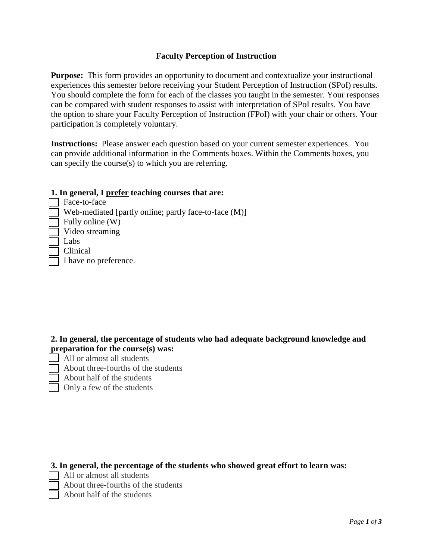## **Faculty Perception of Instruction**

**Purpose:** This form provides an opportunity to document and contextualize your instructional experiences this semester before receiving your Student Perception of Instruction (SPoI) results. You should complete the form for each of the classes you taught in the semester. Your responses can be compared with student responses to assist with interpretation of SPoI results. You have the option to share your Faculty Perception of Instruction (FPoI) with your chair or others. Your participation is completely voluntary.

**Instructions:** Please answer each question based on your current semester experiences. You can provide additional information in the Comments boxes. Within the Comments boxes, you can specify the course(s) to which you are referring.

## **1. In general, I prefer teaching courses that are:**

Face-to-face Web-mediated [partly online; partly face-to-face  $(M)$ ] Fully online  $(W)$ Video streaming Labs **Clinical** I have no preference.

## **2. In general, the percentage of students who had adequate background knowledge and preparation for the course(s) was:**

- All or almost all students
	- About three-fourths of the students About half of the students
		- Only a few of the students

## **3. In general, the percentage of the students who showed great effort to learn was:**

- $\Box$  All or almost all students
	- About three-fourths of the students
	- **T** About half of the students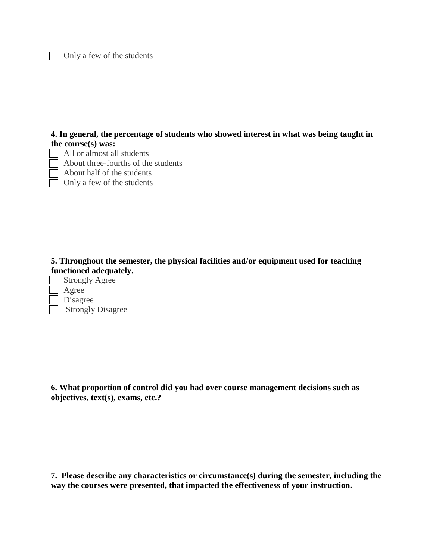$\Box$  Only a few of the students

**4. In general, the percentage of students who showed interest in what was being taught in the course(s) was:**

 $\Box$  All or almost all students About three-fourths of the students

 $\Box$  About half of the students

d. Only a few of the students

**5. Throughout the semester, the physical facilities and/or equipment used for teaching functioned adequately.**

 $\Box$  Strongly Agree **Agree** Disagree Strongly Disagree

**6. What proportion of control did you had over course management decisions such as objectives, text(s), exams, etc.?**

**7. Please describe any characteristics or circumstance(s) during the semester, including the way the courses were presented, that impacted the effectiveness of your instruction.**